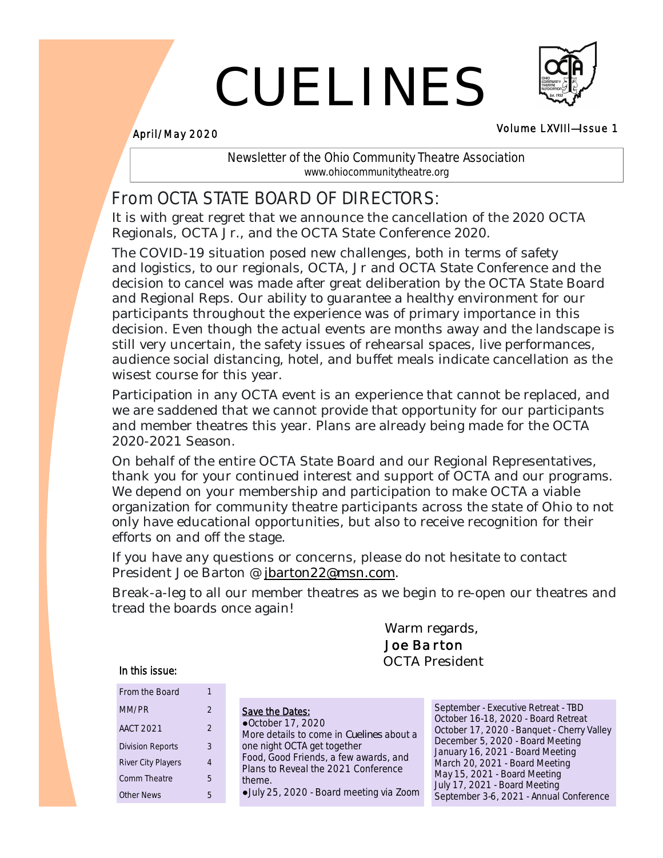# CUELINES



### Volume LXVIIl—Issue 1 April/May 2020

Newsletter of the Ohio Community Theatre Association www.ohiocommunitytheatre.org

# From OCTA STATE BOARD OF DIRECTORS:

It is with great regret that we announce the cancellation of the 2020 OCTA Regionals, OCTA Jr., and the OCTA State Conference 2020.

The COVID-19 situation posed new challenges, both in terms of safety and logistics, to our regionals, OCTA, Jr and OCTA State Conference and the decision to cancel was made after great deliberation by the OCTA State Board and Regional Reps. Our ability to guarantee a healthy environment for our participants throughout the experience was of primary importance in this decision. Even though the actual events are months away and the landscape is still very uncertain, the safety issues of rehearsal spaces, live performances, audience social distancing, hotel, and buffet meals indicate cancellation as the wisest course for this year.

Participation in any OCTA event is an experience that cannot be replaced, and we are saddened that we cannot provide that opportunity for our participants and member theatres this year. Plans are already being made for the OCTA 2020-2021 Season.

On behalf of the entire OCTA State Board and our Regional Representatives, thank you for your continued interest and support of OCTA and our programs. We depend on your membership and participation to make OCTA a viable organization for community theatre participants across the state of Ohio to not only have educational opportunities, but also to receive recognition for their efforts on and off the stage.

If you have any questions or concerns, please do not hesitate to contact President Joe Barton @ jbarton22@msn.com.

Break-a-leg to all our member theatres as we begin to re-open our theatres and tread the boards once again!

> Warm regards, *Joe Barton* OCTA President

### In this issue:

| From the Board          |   |
|-------------------------|---|
| MM/PR                   | 2 |
| AACT 2021               | 2 |
| <b>Division Reports</b> | 3 |
| River City Players      | 4 |
| Comm Theatre            | 5 |
| Other News              |   |

| Save the Dates:                          |
|------------------------------------------|
| ●October 17, 2020                        |
| More details to come in Cuelines about a |
| one night OCTA get together              |
| Food, Good Friends, a few awards, and    |
| Plans to Reveal the 2021 Conference      |
| theme.                                   |
| ·July 25, 2020 - Board meeting via Zoom  |
|                                          |

September - Executive Retreat - TBD October 16-18, 2020 - Board Retreat October 17, 2020 - Banquet - Cherry Valley December 5, 2020 - Board Meeting January 16, 2021 - Board Meeting March 20, 2021 - Board Meeting May 15, 2021 - Board Meeting July 17, 2021 - Board Meeting September 3-6, 2021 - Annual Conference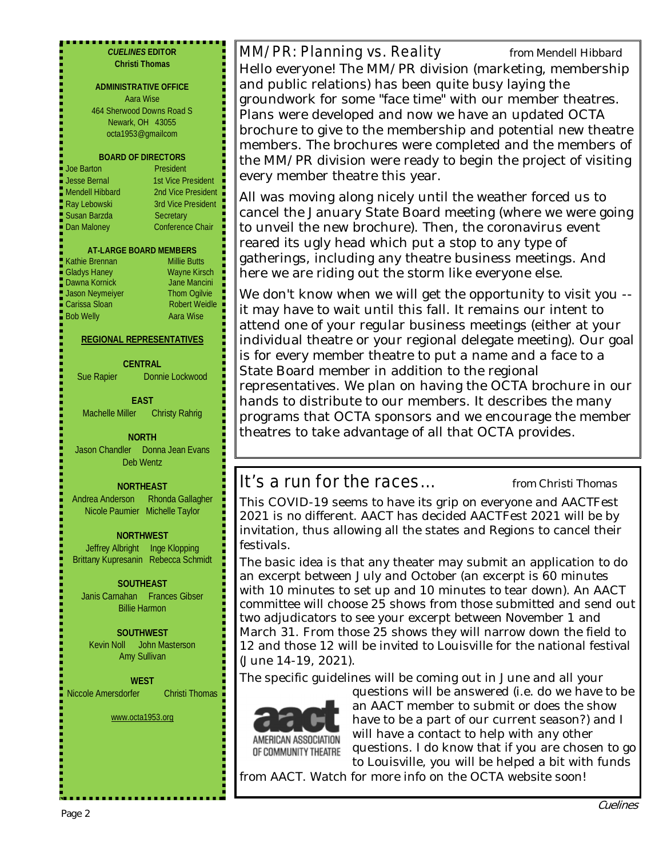| <b>CUELINES EDITOR</b><br><b>Christi Thomas</b><br><b>ADMINISTRATIVE OFFICE</b><br>Aara Wise<br>464 Sherwood Downs Road S<br>Newark, OH 43055<br>octa1953@gmailcom<br><b>BOARD OF DIRECTORS</b><br><b>Joe Barton</b><br>President<br>■ Jesse Bernal<br><b>1st Vice President</b>                                   | MM/PR: Planning vs. Reality<br>from Mendell Hibbard<br>Hello everyone! The MM/PR division (marketing, membership<br>and public relations) has been quite busy laying the<br>groundwork for some "face time" with our member theatres.<br>Plans were developed and now we have an updated OCTA<br>brochure to give to the membership and potential new theatre<br>members. The brochures were completed and the members of<br>the MM/PR division were ready to begin the project of visiting<br>every member theatre this year. |
|--------------------------------------------------------------------------------------------------------------------------------------------------------------------------------------------------------------------------------------------------------------------------------------------------------------------|--------------------------------------------------------------------------------------------------------------------------------------------------------------------------------------------------------------------------------------------------------------------------------------------------------------------------------------------------------------------------------------------------------------------------------------------------------------------------------------------------------------------------------|
| Mendell Hibbard<br>2nd Vice President<br><b>Ray Lebowski</b><br>3rd Vice President<br>Susan Barzda<br>Secretary<br><b>Conference Chair</b><br>Dan Maloney<br><b>AT-LARGE BOARD MEMBERS</b><br>Kathie Brennan<br><b>Millie Butts</b><br><b>Gladys Haney</b><br><b>Wayne Kirsch</b><br>Dawna Kornick<br>Jane Mancini | All was moving along nicely until the weather forced us to<br>cancel the January State Board meeting (where we were going<br>to unveil the new brochure). Then, the coronavirus event<br>reared its ugly head which put a stop to any type of<br>gatherings, including any theatre business meetings. And<br>here we are riding out the storm like everyone else.                                                                                                                                                              |
| Jason Neymeiyer<br><b>Thom Ogilvie</b><br><b>Robert Weidle</b><br>Carissa Sloan<br><b>Bob Welly</b><br>Aara Wise<br>REGIONAL REPRESENTATIVES<br><b>CENTRAL</b><br>Sue Rapier<br>Donnie Lockwood                                                                                                                    | We don't know when we will get the opportunity to visit you --<br>it may have to wait until this fall. It remains our intent to<br>attend one of your regular business meetings (either at your<br>individual theatre or your regional delegate meeting). Our goal<br>is for every member theatre to put a name and a face to a<br>State Board member in addition to the regional<br>representatives. We plan on having the OCTA brochure in our                                                                               |
| <b>EAST</b><br><b>Machelle Miller</b><br><b>Christy Rahrig</b><br><b>NORTH</b><br>Jason Chandler  Donna Jean Evans<br>Deb Wentz                                                                                                                                                                                    | hands to distribute to our members. It describes the many<br>programs that OCTA sponsors and we encourage the member<br>theatres to take advantage of all that OCTA provides.                                                                                                                                                                                                                                                                                                                                                  |
|                                                                                                                                                                                                                                                                                                                    |                                                                                                                                                                                                                                                                                                                                                                                                                                                                                                                                |
| <b>NORTHEAST</b>                                                                                                                                                                                                                                                                                                   | It's a run for the races<br>from Christi Thomas                                                                                                                                                                                                                                                                                                                                                                                                                                                                                |
| Andrea Anderson<br><b>Rhonda Gallagher</b><br>Nicole Paumier Michelle Taylor                                                                                                                                                                                                                                       | This COVID-19 seems to have its grip on everyone and AACTFest<br>2021 is no different. AACT has decided AACTFest 2021 will be by<br>invitation, thus allowing all the states and Regions to cancel their                                                                                                                                                                                                                                                                                                                       |
| <b>NORTHWEST</b><br>Jeffrey Albright Inge Klopping                                                                                                                                                                                                                                                                 | festivals.                                                                                                                                                                                                                                                                                                                                                                                                                                                                                                                     |
| Brittany Kupresanin Rebecca Schmidt                                                                                                                                                                                                                                                                                | The basic idea is that any theater may submit an application to do                                                                                                                                                                                                                                                                                                                                                                                                                                                             |
| SOUTHEAST<br>Janis Carnahan Frances Gibser<br><b>Billie Harmon</b>                                                                                                                                                                                                                                                 | an excerpt between July and October (an excerpt is 60 minutes<br>with 10 minutes to set up and 10 minutes to tear down). An AACT<br>committee will choose 25 shows from those submitted and send out<br>two adjudicators to see your excerpt between November 1 and                                                                                                                                                                                                                                                            |
| <b>SOUTHWEST</b><br>John Masterson<br>Kevin Noll<br>Amy Sullivan                                                                                                                                                                                                                                                   | March 31. From those 25 shows they will narrow down the field to<br>12 and those 12 will be invited to Louisville for the national festival<br>(June 14-19, 2021).                                                                                                                                                                                                                                                                                                                                                             |
| <b>WEST</b><br>Niccole Amersdorfer<br><b>Christi Thomas</b>                                                                                                                                                                                                                                                        | The specific guidelines will be coming out in June and all your<br>questions will be answered (i.e. do we have to be<br>an AACT member to submit or does the show                                                                                                                                                                                                                                                                                                                                                              |
| www.octa1953.org                                                                                                                                                                                                                                                                                                   | have to be a part of our current season?) and I<br>will have a contact to help with any other                                                                                                                                                                                                                                                                                                                                                                                                                                  |

to Louisville, you will be helped a bit with funds from AACT. Watch for more info on the OCTA website soon!

questions. I do know that if you are chosen to go

- 100mm - 100mm - 100mm - 100mm - 100mm - 100mm - 100mm - 100mm - 100mm - 100mm - 100mm - 100mm - 100mm - 100<br>- 100mm - 100mm - 100mm - 100mm - 100mm - 100mm - 100mm - 100mm - 100mm - 100mm - 100mm - 100mm - 100mm - 100

OF COMMUNITY THEATRE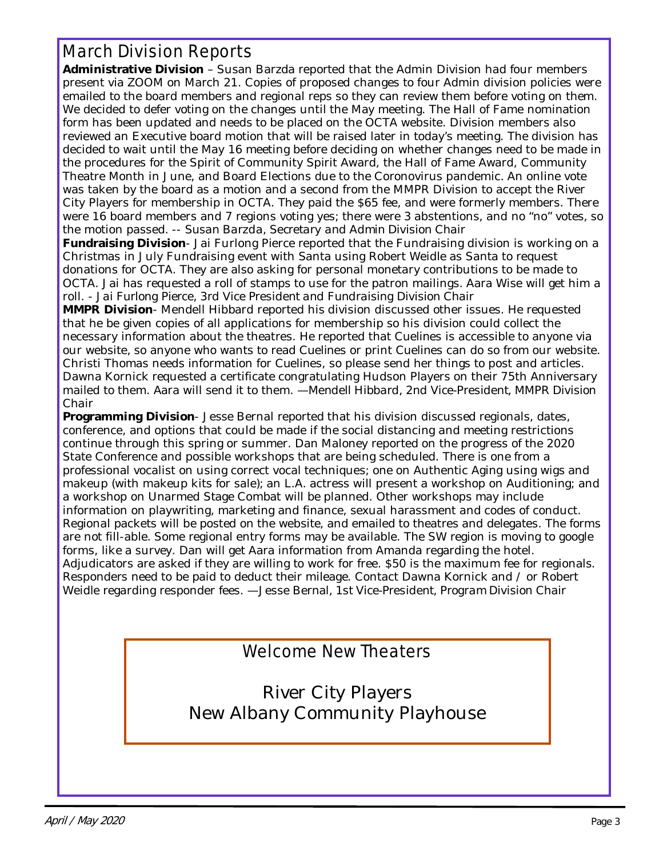# March Division Reports

**Administrative Division** – Susan Barzda reported that the Admin Division had four members present via ZOOM on March 21. Copies of proposed changes to four Admin division policies were emailed to the board members and regional reps so they can review them before voting on them. We decided to defer voting on the changes until the May meeting. The Hall of Fame nomination form has been updated and needs to be placed on the OCTA website. Division members also reviewed an Executive board motion that will be raised later in today's meeting. The division has decided to wait until the May 16 meeting before deciding on whether changes need to be made in the procedures for the Spirit of Community Spirit Award, the Hall of Fame Award, Community Theatre Month in June, and Board Elections due to the Coronovirus pandemic. An online vote was taken by the board as a motion and a second from the MMPR Division to accept the River City Players for membership in OCTA. They paid the \$65 fee, and were formerly members. There were 16 board members and 7 regions voting yes; there were 3 abstentions, and no "no" votes, so the motion passed. -- *Susan Barzda, Secretary and Admin Division Chair*

**Fundraising Division**- Jai Furlong Pierce reported that the Fundraising division is working on a Christmas in July Fundraising event with Santa using Robert Weidle as Santa to request donations for OCTA. They are also asking for personal monetary contributions to be made to OCTA. Jai has requested a roll of stamps to use for the patron mailings. Aara Wise will get him a roll. - *Jai Furlong Pierce, 3rd Vice President and Fundraising Division Chair*

**MMPR Division**- Mendell Hibbard reported his division discussed other issues. He requested that he be given copies of all applications for membership so his division could collect the necessary information about the theatres. He reported that *Cuelines* is accessible to anyone via our website, so anyone who wants to read *Cuelines* or print *Cuelines* can do so from our website. Christi Thomas needs information for *Cuelines*, so please send her things to post and articles. Dawna Kornick requested a certificate congratulating Hudson Players on their 75th Anniversary mailed to them. Aara will send it to them. —*Mendell Hibbard, 2nd Vice-President, MMPR Division Chair*

**Programming Division**- Jesse Bernal reported that his division discussed regionals, dates, conference, and options that could be made if the social distancing and meeting restrictions continue through this spring or summer. Dan Maloney reported on the progress of the 2020 State Conference and possible workshops that are being scheduled. There is one from a professional vocalist on using correct vocal techniques; one on Authentic Aging using wigs and makeup (with makeup kits for sale); an L.A. actress will present a workshop on Auditioning; and a workshop on Unarmed Stage Combat will be planned. Other workshops may include information on playwriting, marketing and finance, sexual harassment and codes of conduct. Regional packets will be posted on the website, and emailed to theatres and delegates. The forms are not fill-able. Some regional entry forms may be available. The SW region is moving to google forms, like a survey. Dan will get Aara information from Amanda regarding the hotel. Adjudicators are asked if they are willing to work for free. \$50 is the maximum fee for regionals. Responders need to be paid to deduct their mileage. Contact Dawna Kornick and / or Robert Weidle regarding responder fees. —*Jesse Bernal, 1st Vice-President, Program Division Chair*

Welcome New Theaters

River City Players New Albany Community Playhouse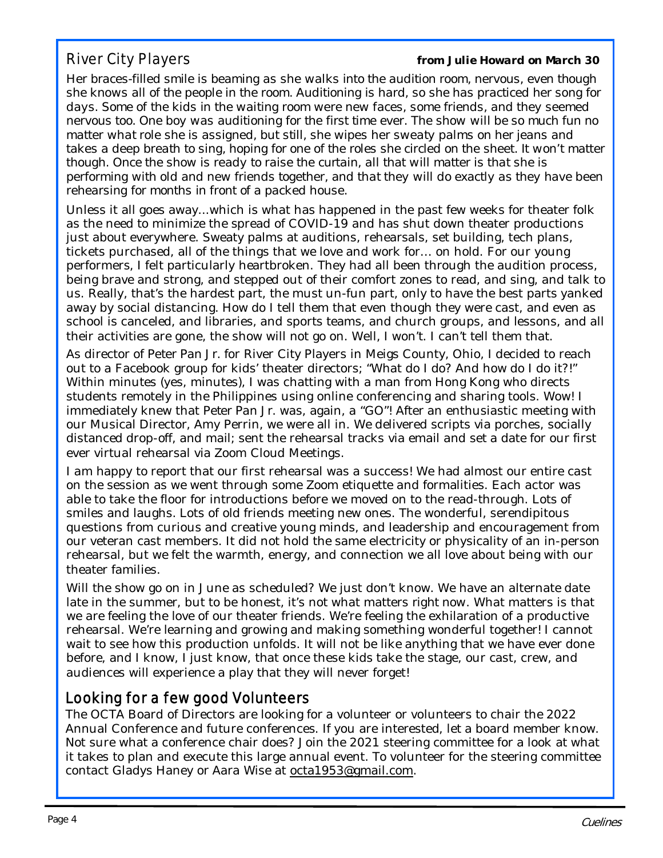River City Players *from Julie Howard on March 30*

*Her braces-filled smile is beaming as she walks into the audition room, nervous, even though she knows all of the people in the room. Auditioning is hard, so she has practiced her song for days. Some of the kids in the waiting room were new faces, some friends, and they seemed nervous too. One boy was auditioning for the first time ever. The show will be so much fun no matter what role she is assigned, but still, she wipes her sweaty palms on her jeans and takes a deep breath to sing, hoping for one of the roles she circled on the sheet. It won't matter though. Once the show is ready to raise the curtain, all that will matter is that she is performing with old and new friends together, and that they will do exactly as they have been rehearsing for months in front of a packed house.*

Unless it all goes away...which is what has happened in the past few weeks for theater folk as the need to minimize the spread of COVID-19 and has shut down theater productions just about everywhere. Sweaty palms at auditions, rehearsals, set building, tech plans, tickets purchased, all of the things that we love and work for… on hold. For our young performers, I felt particularly heartbroken. They had all been through the audition process, being brave and strong, and stepped out of their comfort zones to read, and sing, and talk to us. Really, that's the hardest part, the must un-fun part, only to have the best parts yanked away by social distancing. How do I tell them that even though they were cast, and even as school is canceled, and libraries, and sports teams, and church groups, and lessons, and all their activities are gone, the show will not go on. Well, I won't. I can't tell them that.

As director of *Peter Pan Jr.* for River City Players in Meigs County, Ohio, I decided to reach out to a Facebook group for kids' theater directors; "What do I do? And how do I do it?!" Within minutes (yes, minutes), I was chatting with a man from Hong Kong who directs students remotely in the Philippines using online conferencing and sharing tools. Wow! I immediately knew that *Peter Pan Jr.* was, again, a "GO"! After an enthusiastic meeting with our Musical Director, Amy Perrin, we were all in. We delivered scripts via porches, socially distanced drop-off, and mail; sent the rehearsal tracks via email and set a date for our first ever virtual rehearsal via Zoom Cloud Meetings.

I am happy to report that our first rehearsal was a success! We had almost our entire cast on the session as we went through some Zoom etiquette and formalities. Each actor was able to take the floor for introductions before we moved on to the read-through. Lots of smiles and laughs. Lots of old friends meeting new ones. The wonderful, serendipitous questions from curious and creative young minds, and leadership and encouragement from our veteran cast members. It did not hold the same electricity or physicality of an in-person rehearsal, but we felt the warmth, energy, and connection we all love about being with our theater families.

Will the show go on in June as scheduled? We just don't know. We have an alternate date late in the summer, but to be honest, it's not what matters *right now*. What matters is that we are feeling the love of our theater friends. We're feeling the exhilaration of a productive rehearsal. We're learning and growing and making something wonderful together! I cannot wait to see how this production unfolds. It will not be like anything that we have ever done before, and I know, I just know, that once these kids take the stage, our cast, crew, and audiences will experience a play that they will never forget!

## Looking for a few good Volunteers

The OCTA Board of Directors are looking for a volunteer or volunteers to chair the 2022 Annual Conference and future conferences. If you are interested, let a board member know. Not sure what a conference chair does? Join the 2021 steering committee for a look at what it takes to plan and execute this large annual event. To volunteer for the steering committee contact Gladys Haney or Aara Wise at octa1953@gmail.com.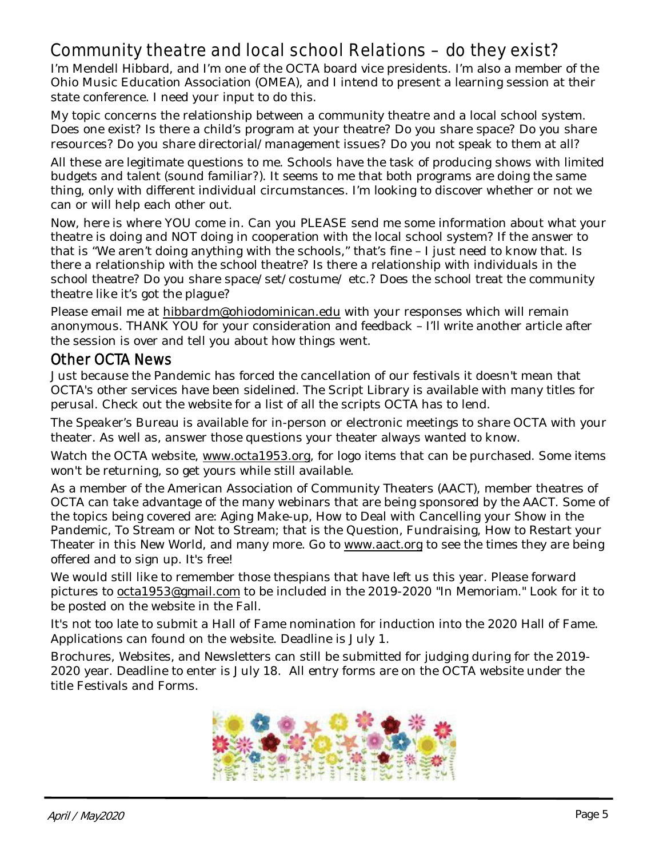# Community theatre and local school Relations – do they exist?

I'm Mendell Hibbard, and I'm one of the OCTA board vice presidents. I'm also a member of the Ohio Music Education Association (OMEA), and I intend to present a learning session at their state conference. I need your input to do this.

My topic concerns the relationship between a community theatre and a local school system. Does one exist? Is there a child's program at your theatre? Do you share space? Do you share resources? Do you share directorial/management issues? Do you not speak to them at all?

All these are legitimate questions to me. Schools have the task of producing shows with limited budgets and talent (sound familiar?). It seems to me that both programs are doing the same thing, only with different individual circumstances. I'm looking to discover whether or not we can or will help each other out.

Now, here is where YOU come in. Can you PLEASE send me some information about what your theatre is doing and NOT doing in cooperation with the local school system? If the answer to that is "We aren't doing anything with the schools," that's fine – I just need to know that. Is there a relationship with the school theatre? Is there a relationship with individuals in the school theatre? Do you share space/set/costume/ etc.? Does the school treat the community theatre like it's got the plague?

Please email me at hibbardm@ohiodominican.edu with your responses which will remain anonymous. THANK YOU for your consideration and feedback – I'll write another article after the session is over and tell you about how things went.

### Other OCTA News

Just because the Pandemic has forced the cancellation of our festivals it doesn't mean that OCTA's other services have been sidelined. The Script Library is available with many titles for perusal. Check out the website for a list of all the scripts OCTA has to lend.

The Speaker's Bureau is available for in-person or electronic meetings to share OCTA with your theater. As well as, answer those questions your theater always wanted to know.

Watch the OCTA website, www.octa1953.org, for logo items that can be purchased. Some items won't be returning, so get yours while still available.

As a member of the American Association of Community Theaters (AACT), member theatres of OCTA can take advantage of the many webinars that are being sponsored by the AACT. Some of the topics being covered are: Aging Make-up, How to Deal with Cancelling your Show in the Pandemic, To Stream or Not to Stream; that is the Question, Fundraising, How to Restart your Theater in this New World, and many more. Go to www.aact.org to see the times they are being offered and to sign up. It's free!

We would still like to remember those thespians that have left us this year. Please forward pictures to octa1953@gmail.com to be included in the 2019-2020 "In Memoriam." Look for it to be posted on the website in the Fall.

It's not too late to submit a Hall of Fame nomination for induction into the 2020 Hall of Fame. Applications can found on the website. Deadline is July 1.

Brochures, Websites, and Newsletters can still be submitted for judging during for the 2019- 2020 year. Deadline to enter is July 18. All entry forms are on the OCTA website under the title Festivals and Forms.